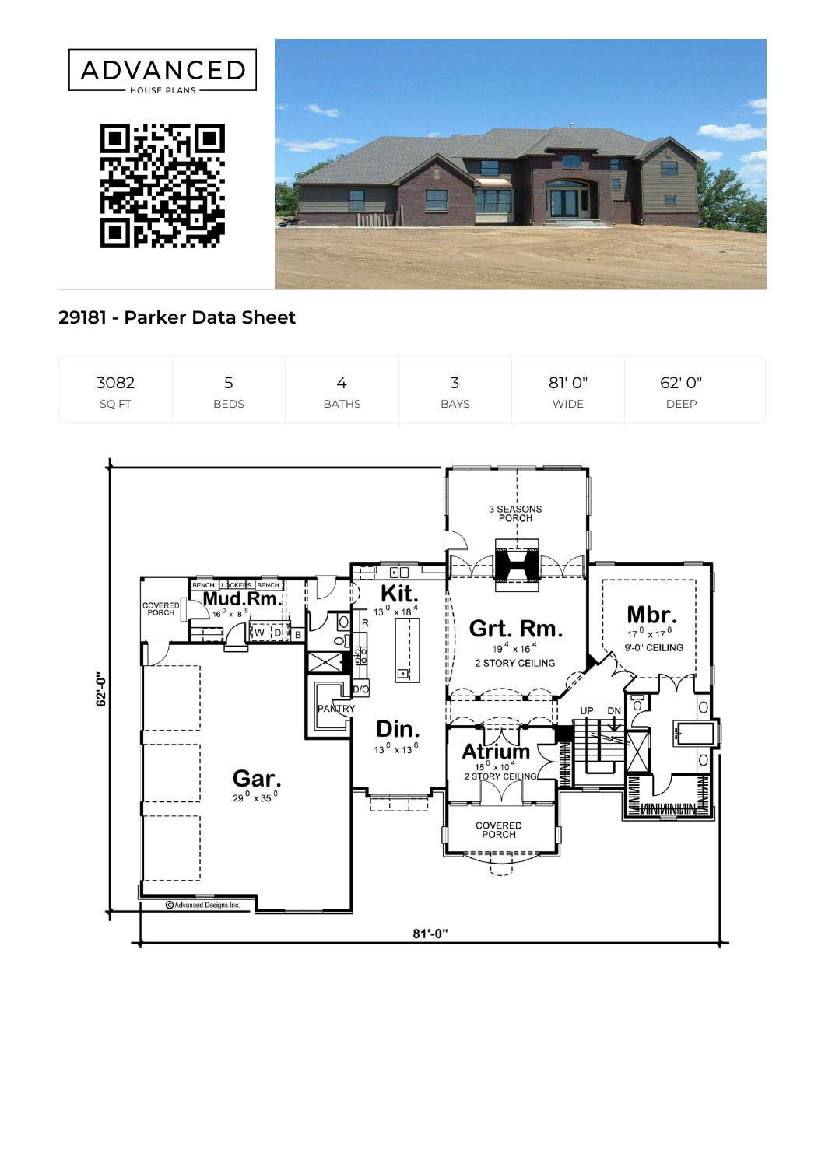

## **29181 - Parker Data Sheet**

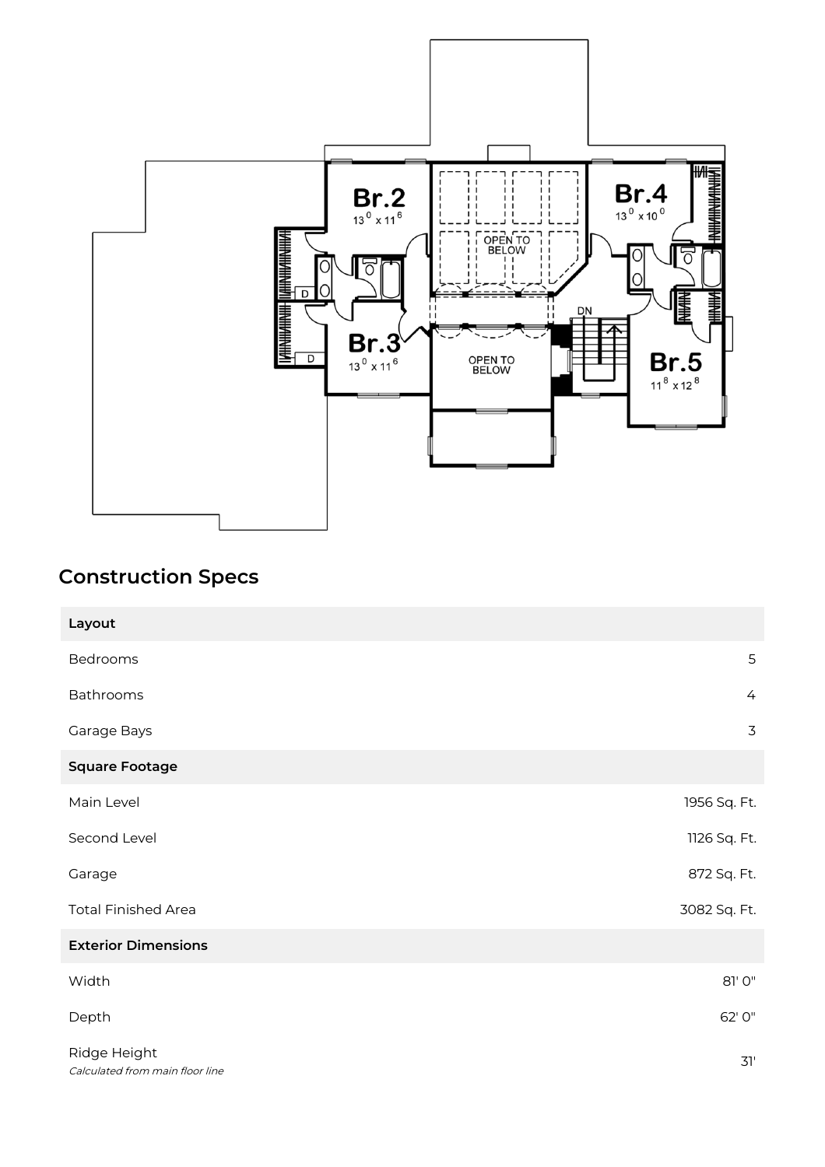

## **Construction Specs**

| Layout                                          |                |
|-------------------------------------------------|----------------|
| Bedrooms                                        | 5              |
| Bathrooms                                       | $\overline{4}$ |
| Garage Bays                                     | 3              |
| <b>Square Footage</b>                           |                |
| Main Level                                      | 1956 Sq. Ft.   |
| Second Level                                    | 1126 Sq. Ft.   |
| Garage                                          | 872 Sq. Ft.    |
| <b>Total Finished Area</b>                      | 3082 Sq. Ft.   |
| <b>Exterior Dimensions</b>                      |                |
| Width                                           | 81' 0"         |
| Depth                                           | 62' 0"         |
| Ridge Height<br>Calculated from main floor line | 31'            |